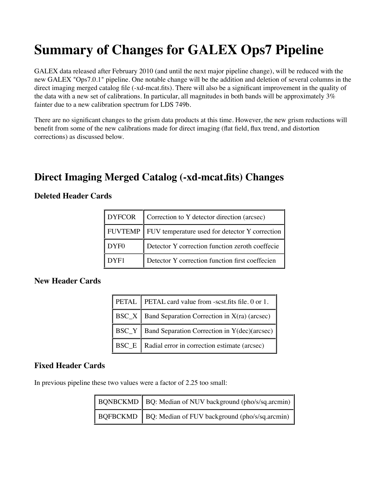# **Summary of Changes for GALEX Ops7 Pipeline**

GALEX data released after February 2010 (and until the next major pipeline change), will be reduced with the new GALEX "Ops7.0.1" pipeline. One notable change will be the addition and deletion of several columns in the direct imaging merged catalog file (-xd-mcat.fits). There will also be a significant improvement in the quality of the data with a new set of calibrations. In particular, all magnitudes in both bands will be approximately 3% fainter due to a new calibration spectrum for LDS 749b.

There are no significant changes to the grism data products at this time. However, the new grism reductions will benefit from some of the new calibrations made for direct imaging (flat field, flux trend, and distortion corrections) as discussed below.

# **Direct Imaging Merged Catalog (-xd-mcat.fits) Changes**

## **Deleted Header Cards**

| <b>DYFCOR</b>    | Correction to Y detector direction (arcsec)     |  |  |
|------------------|-------------------------------------------------|--|--|
| <b>FUVTEMP</b>   | FUV temperature used for detector Y correction  |  |  |
| DYF <sub>0</sub> | Detector Y correction function zeroth coeffecie |  |  |
| DYF1             | Detector Y correction function first coeffecien |  |  |

## **New Header Cards**

| <b>PETAL PETAL</b> card value from -scst.fits file. 0 or 1. |  |  |
|-------------------------------------------------------------|--|--|
| BSC_X   Band Separation Correction in X(ra) (arcsec)        |  |  |
| BSC_Y   Band Separation Correction in Y(dec)(arcsec)        |  |  |
| BSC_E   Radial error in correction estimate (arcsec)        |  |  |

## **Fixed Header Cards**

In previous pipeline these two values were a factor of 2.25 too small:

| BQNBCKMD   BQ: Median of NUV background (pho/s/sq.arcmin) |
|-----------------------------------------------------------|
| BQFBCKMD   BQ: Median of FUV background (pho/s/sq.arcmin) |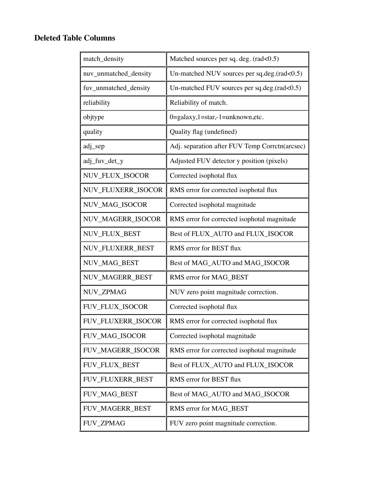## **Deleted Table Columns**

| match_density            | Matched sources per sq. deg. (rad<0.5)         |
|--------------------------|------------------------------------------------|
| nuv_unmatched_density    | Un-matched NUV sources per sq.deg.(rad<0.5)    |
| fuv_unmatched_density    | Un-matched FUV sources per sq.deg.(rad<0.5)    |
| reliability              | Reliability of match.                          |
| objtype                  | $0 = galaxy, 1 = star, -1 = unknown, etc.$     |
| quality                  | Quality flag (undefined)                       |
| adj_sep                  | Adj. separation after FUV Temp Corrctn(arcsec) |
| adj_fuv_det_y            | Adjusted FUV detector y position (pixels)      |
| NUV_FLUX_ISOCOR          | Corrected isophotal flux                       |
| NUV_FLUXERR_ISOCOR       | RMS error for corrected isophotal flux         |
| NUV_MAG_ISOCOR           | Corrected isophotal magnitude                  |
| <b>NUV MAGERR ISOCOR</b> | RMS error for corrected isophotal magnitude    |
| NUV_FLUX_BEST            | Best of FLUX_AUTO and FLUX_ISOCOR              |
| NUV_FLUXERR_BEST         | RMS error for BEST flux                        |
| NUV_MAG_BEST             | Best of MAG_AUTO and MAG_ISOCOR                |
| NUV_MAGERR_BEST          | RMS error for MAG_BEST                         |
| NUV_ZPMAG                | NUV zero point magnitude correction.           |
| FUV_FLUX_ISOCOR          | Corrected isophotal flux                       |
| FUV_FLUXERR_ISOCOR       | RMS error for corrected isophotal flux         |
| FUV_MAG_ISOCOR           | Corrected isophotal magnitude                  |
| FUV_MAGERR_ISOCOR        | RMS error for corrected isophotal magnitude    |
| FUV_FLUX_BEST            | Best of FLUX_AUTO and FLUX_ISOCOR              |
| FUV_FLUXERR_BEST         | RMS error for BEST flux                        |
| FUV_MAG_BEST             | Best of MAG_AUTO and MAG_ISOCOR                |
| FUV_MAGERR_BEST          | RMS error for MAG_BEST                         |
| <b>FUV_ZPMAG</b>         | FUV zero point magnitude correction.           |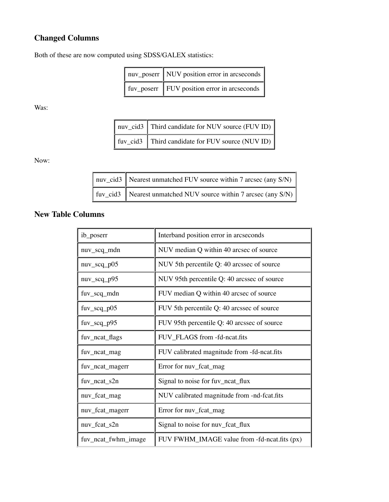## **Changed Columns**

Both of these are now computed using SDSS/GALEX statistics:

| nuv_poserr   NUV position error in arcseconds             |
|-----------------------------------------------------------|
| $\int$ fuv_poserr $\int$ FUV position error in arcseconds |

Was:

| nuv_cid3 Third candidate for NUV source (FUV ID) |
|--------------------------------------------------|
| fuv_cid3 Third candidate for FUV source (NUV ID) |

Now:

| nuv_cid3   Nearest unmatched FUV source within 7 arcsec (any S/N)                                                   |
|---------------------------------------------------------------------------------------------------------------------|
| $\left[\begin{array}{c c}\text{fuv\_cid3}\end{array}\right]$ Nearest unmatched NUV source within 7 arcsec (any S/N) |

## **New Table Columns**

| ib_poserr           | Interband position error in arcseconds       |
|---------------------|----------------------------------------------|
| nuv_scq_mdn         | NUV median Q within 40 arcsec of source      |
| $nu\_scq_p05$       | NUV 5th percentile Q: 40 arcssec of source   |
| nuv_scq_p95         | NUV 95th percentile Q: 40 arcssec of source  |
| fuv_scq_mdn         | FUV median Q within 40 arcsec of source      |
| $fuv\_scq\_p05$     | FUV 5th percentile Q: 40 arcssec of source   |
| $fuv\_scq_p95$      | FUV 95th percentile Q: 40 arcssec of source  |
| fuv_ncat_flags      | FUV_FLAGS from -fd-ncat.fits                 |
| fuv_ncat_mag        | FUV calibrated magnitude from -fd-ncat.fits  |
| fuv_ncat_magerr     | Error for nuv_fcat_mag                       |
| $fuv\_ncat\_s2n$    | Signal to noise for fuv_ncat_flux            |
| nuv_fcat_mag        | NUV calibrated magnitude from -nd-fcat.fits  |
| nuv_fcat_magerr     | Error for nuv_fcat_mag                       |
| nuv_fcat_s2n        | Signal to noise for nuv_fcat_flux            |
| fuv_ncat_fwhm_image | FUV FWHM_IMAGE value from -fd-ncat.fits (px) |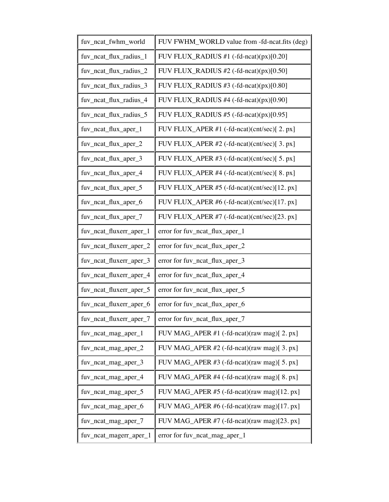| fuv_ncat_fwhm_world     | FUV FWHM_WORLD value from -fd-ncat.fits (deg) |
|-------------------------|-----------------------------------------------|
| fuv_ncat_flux_radius_1  | FUV FLUX_RADIUS $#1$ (-fd-neat)(px)[0.20]     |
| fuv_ncat_flux_radius_2  | FUV FLUX_RADIUS #2 (-fd-ncat)(px)[0.50]       |
| fuv_ncat_flux_radius_3  | FUV FLUX_RADIUS $#3$ (-fd-ncat)(px)[0.80]     |
| fuv_ncat_flux_radius_4  | FUV FLUX_RADIUS $#4$ (-fd-ncat) $(px)[0.90]$  |
| fuv_ncat_flux_radius_5  | FUV FLUX_RADIUS $#5$ (-fd-ncat)(px)[0.95]     |
| fuv_ncat_flux_aper_1    | FUV FLUX_APER #1 (-fd-ncat)(cnt/sec)[ 2. px]  |
| fuv_ncat_flux_aper_2    | FUV FLUX_APER #2 (-fd-ncat)(cnt/sec)[ 3. px]  |
| fuv_ncat_flux_aper_3    | FUV FLUX_APER #3 (-fd-ncat)(cnt/sec)[ 5. px]  |
| fuv_ncat_flux_aper_4    | FUV FLUX_APER #4 (-fd-ncat)(cnt/sec)[ 8. px]  |
| fuv_ncat_flux_aper_5    | FUV FLUX_APER #5 (-fd-ncat)(cnt/sec)[12. px]  |
| fuv_ncat_flux_aper_6    | FUV FLUX_APER #6 (-fd-ncat)(cnt/sec)[17. px]  |
| fuv_ncat_flux_aper_7    | FUV FLUX_APER #7 (-fd-ncat)(cnt/sec)[23. px]  |
| fuv_ncat_fluxerr_aper_1 | error for fuv_ncat_flux_aper_1                |
| fuv_ncat_fluxerr_aper_2 | error for fuv_ncat_flux_aper_2                |
| fuv_ncat_fluxerr_aper_3 | error for fuv_ncat_flux_aper_3                |
| fuv_ncat_fluxerr_aper_4 | error for fuv_ncat_flux_aper_4                |
| fuv_ncat_fluxerr_aper_5 | error for fuv_ncat_flux_aper_5                |
| fuv_ncat_fluxerr_aper_6 | error for fuv_ncat_flux_aper_6                |
| fuv_ncat_fluxerr_aper_7 | error for fuv_ncat_flux_aper_7                |
| fuv_ncat_mag_aper_1     | FUV MAG_APER $#1$ (-fd-neat)(raw mag)[ 2. px] |
| fuv_ncat_mag_aper_2     | FUV MAG_APER #2 (-fd-ncat)(raw mag)[ 3. px]   |
| fuv_ncat_mag_aper_3     | FUV MAG_APER #3 (-fd-ncat)(raw mag)[ 5. px]   |
| fuv_ncat_mag_aper_4     | FUV MAG_APER #4 (-fd-ncat)(raw mag)[ 8. px]   |
| fuv_ncat_mag_aper_5     | FUV MAG_APER #5 (-fd-ncat)(raw mag)[12. px]   |
| fuv_ncat_mag_aper_6     | FUV MAG_APER #6 (-fd-ncat)(raw mag)[17. px]   |
| fuv_ncat_mag_aper_7     | FUV MAG_APER $#7$ (-fd-ncat)(raw mag)[23. px] |
| fuv_ncat_magerr_aper_1  | error for fuv_ncat_mag_aper_1                 |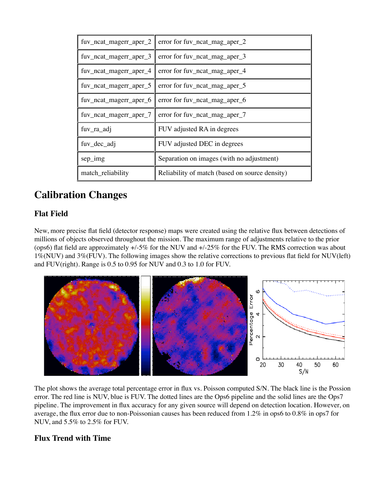| fuv_ncat_magerr_aper_2 | error for fuv_ncat_mag_aper_2                  |
|------------------------|------------------------------------------------|
| fuv_ncat_magerr_aper_3 | error for fuv_ncat_mag_aper_3                  |
| fuv_ncat_magerr_aper_4 | error for fuv_ncat_mag_aper_4                  |
| fuv_ncat_magerr_aper_5 | error for fuv_ncat_mag_aper_5                  |
| fuv_ncat_magerr_aper_6 | error for fuv_ncat_mag_aper_6                  |
| fuv_ncat_magerr_aper_7 | error for fuv_ncat_mag_aper_7                  |
| fuv_ra_adj             | FUV adjusted RA in degrees                     |
| fuv_dec_adj            | FUV adjusted DEC in degrees                    |
| sep_img                | Separation on images (with no adjustment)      |
| match_reliability      | Reliability of match (based on source density) |

# **Calibration Changes**

## **Flat Field**

New, more precise flat field (detector response) maps were created using the relative flux between detections of millions of objects observed throughout the mission. The maximum range of adjustments relative to the prior (ops6) flat field are approzimately +/-5% for the NUV and +/-25% for the FUV. The RMS correction was about 1%(NUV) and 3%(FUV). The following images show the relative corrections to previous flat field for NUV(left) and FUV(right). Range is 0.5 to 0.95 for NUV and 0.3 to 1.0 for FUV.



The plot shows the average total percentage error in flux vs. Poisson computed S/N. The black line is the Possion error. The red line is NUV, blue is FUV. The dotted lines are the Ops6 pipeline and the solid lines are the Ops7 pipeline. The improvement in flux accuracy for any given source will depend on detection location. However, on average, the flux error due to non-Poissonian causes has been reduced from 1.2% in ops6 to 0.8% in ops7 for NUV, and 5.5% to 2.5% for FUV.

## **Flux Trend with Time**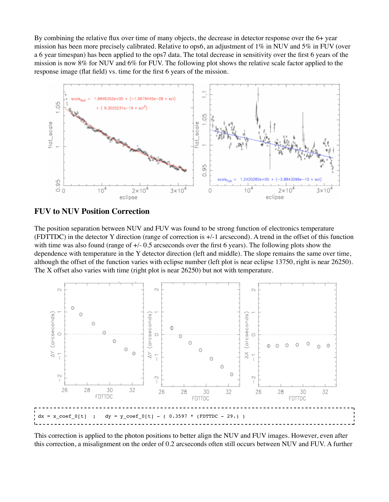By combining the relative flux over time of many objects, the decrease in detector response over the 6+ year mission has been more precisely calibrated. Relative to ops6, an adjustment of 1% in NUV and 5% in FUV (over a 6 year timespan) has been applied to the ops7 data. The total decrease in sensitivity over the first 6 years of the mission is now 8% for NUV and 6% for FUV. The following plot shows the relative scale factor applied to the response image (flat field) vs. time for the first 6 years of the mission.



#### **FUV to NUV Position Correction**

The position separation between NUV and FUV was found to be strong function of electronics temperature (FDTTDC) in the detector Y direction (range of correction is +/-1 arcsecond). A trend in the offset of this function with time was also found (range of  $+/- 0.5$  arcseconds over the first 6 years). The following plots show the dependence with temperature in the Y detector direction (left and middle). The slope remains the same over time, although the offset of the function varies with eclipse number (left plot is near eclipse 13750, right is near 26250). The X offset also varies with time (right plot is near 26250) but not with temperature.



This correction is applied to the photon positions to better align the NUV and FUV images. However, even after this correction, a misalignment on the order of 0.2 arcseconds often still occurs between NUV and FUV. A further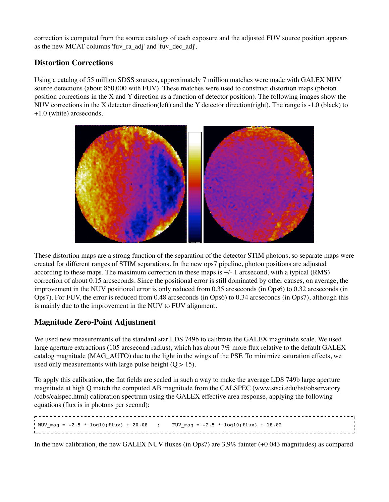correction is computed from the source catalogs of each exposure and the adjusted FUV source position appears as the new MCAT columns 'fuv\_ra\_adj' and 'fuv\_dec\_adj'.

## **Distortion Corrections**

Using a catalog of 55 million SDSS sources, approximately 7 million matches were made with GALEX NUV source detections (about 850,000 with FUV). These matches were used to construct distortion maps (photon position corrections in the X and Y direction as a function of detector position). The following images show the NUV corrections in the X detector direction(left) and the Y detector direction(right). The range is -1.0 (black) to +1.0 (white) arcseconds.



These distortion maps are a strong function of the separation of the detector STIM photons, so separate maps were created for different ranges of STIM separations. In the new ops7 pipeline, photon positions are adjusted according to these maps. The maximum correction in these maps is +/- 1 arcsecond, with a typical (RMS) correction of about 0.15 arcseconds. Since the positional error is still dominated by other causes, on average, the improvement in the NUV positional error is only reduced from 0.35 arcseconds (in Ops6) to 0.32 arcseconds (in Ops7). For FUV, the error is reduced from 0.48 arcseconds (in Ops6) to 0.34 arcseconds (in Ops7), although this is mainly due to the improvement in the NUV to FUV alignment.

## **Magnitude Zero-Point Adjustment**

We used new measurements of the standard star LDS 749b to calibrate the GALEX magnitude scale. We used large aperture extractions (105 arcsecond radius), which has about 7% more flux relative to the default GALEX catalog magnitude (MAG\_AUTO) due to the light in the wings of the PSF. To minimize saturation effects, we used only measurements with large pulse height  $(Q > 15)$ .

To apply this calibration, the flat fields are scaled in such a way to make the average LDS 749b large aperture magnitude at high Q match the computed AB magnitude from the CALSPEC (www.stsci.edu/hst/observatory /cdbs/calspec.html) calibration spectrum using the GALEX effective area response, applying the following equations (flux is in photons per second):

| $\frac{1}{2}$ NUV_mag = -2.5 * log10(flux) + 20.08 ; FUV_mag = -2.5 * log10(flux) + 18.82 |  |  |
|-------------------------------------------------------------------------------------------|--|--|
|                                                                                           |  |  |
|                                                                                           |  |  |

In the new calibration, the new GALEX NUV fluxes (in Ops7) are 3.9% fainter (+0.043 magnitudes) as compared